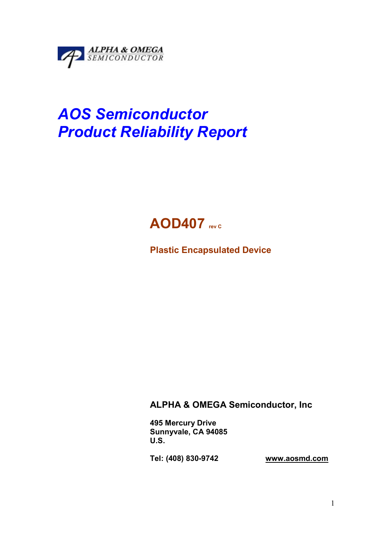

# AOS Semiconductor Product Reliability Report



Plastic Encapsulated Device

ALPHA & OMEGA Semiconductor, Inc

495 Mercury Drive Sunnyvale, CA 94085 U.S.

Tel: (408) 830-9742 www.aosmd.com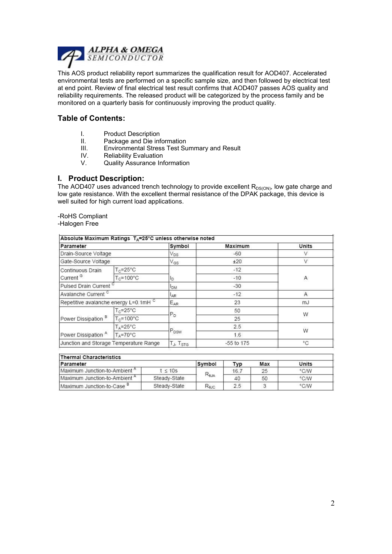

This AOS product reliability report summarizes the qualification result for AOD407. Accelerated environmental tests are performed on a specific sample size, and then followed by electrical test at end point. Review of final electrical test result confirms that AOD407 passes AOS quality and reliability requirements. The released product will be categorized by the process family and be monitored on a quarterly basis for continuously improving the product quality.

## Table of Contents:

- I. Product Description<br>II. Package and Die inf
- II. Package and Die information<br>III. Fnvironmental Stress Test Su
- III. Environmental Stress Test Summary and Result<br>IV. Reliability Evaluation
- IV. Reliability Evaluation<br>V. Quality Assurance Inf
- Quality Assurance Information

#### I. Product Description:

The AOD407 uses advanced trench technology to provide excellent  $R_{DS(ON)}$ , low gate charge and low gate resistance. With the excellent thermal resistance of the DPAK package, this device is well suited for high current load applications.

-RoHS Compliant

-Halogen Free

| Parameter                                        |                              | Symbol                            | Maximum    | Units  |  |
|--------------------------------------------------|------------------------------|-----------------------------------|------------|--------|--|
| Drain-Source Voltage                             |                              | $V_{DS}$                          | $-60$      |        |  |
| Gate-Source Voltage                              |                              | $V_{GS}$                          | ±20        | $\vee$ |  |
| Continuous Drain                                 | $T_c = 25^{\circ}C$          | $-12$                             |            |        |  |
| Current <sup>G</sup>                             | $T_c = 100^{\circ}$ C        | lp.                               | $-10$      | Α      |  |
| Pulsed Drain Current <sup>c</sup>                |                              | <b>DM</b>                         | $-30$      |        |  |
| Avalanche Current <sup>c</sup>                   |                              | AR <sup>1</sup>                   | $-12$      | A      |  |
| Repetitive avalanche energy L=0.1mH <sup>C</sup> |                              | $E_{AR}$                          | 23         | mJ     |  |
| Power Dissipation <sup>B</sup>                   | $T_c = 25^{\circ}C$          | $P_{D}$                           | 50         | W      |  |
|                                                  | $T_c = 100^{\circ}$ C        |                                   | 25         |        |  |
| Power Dissipation A                              | $T_{\text{A}} = 25^{\circ}C$ |                                   | 2.5        | W      |  |
|                                                  | $T_A = 70^{\circ}$ C         | P <sub>DSM</sub>                  | 1.6        |        |  |
| Junction and Storage Temperature Range           |                              | T <sub>J</sub> , T <sub>STG</sub> | -55 to 175 | °C     |  |

| Thermal Characteristics                  |              |                |      |       |      |  |  |
|------------------------------------------|--------------|----------------|------|-------|------|--|--|
| Parameter                                | Symbol       | Tvp            | Max  | Units |      |  |  |
| Maximum Junction-to-Ambient <sup>"</sup> | $t \leq 10s$ |                | 16.7 | 25    | °C/W |  |  |
| Maximum Junction-to-Ambient <sup>"</sup> | Steady-State | $R_{\theta$ JA | 40   | 50    | °C/W |  |  |
| Maximum Junction-to-Case <sup>o</sup>    | Steady-State | Rejc           | 2.5  |       | °C/W |  |  |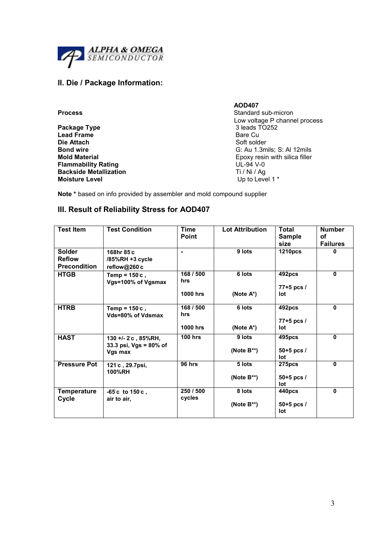

# II. Die / Package Information:

|                               | <b>AOD407</b>                  |
|-------------------------------|--------------------------------|
| <b>Process</b>                | Standard sub-micron            |
|                               | Low voltage P channel process  |
| Package Type                  | 3 leads TO252                  |
| <b>Lead Frame</b>             | Bare Cu                        |
| Die Attach                    | Soft solder                    |
| Bond wire                     | G: Au 1.3mils; S: Al 12mils    |
| <b>Mold Material</b>          | Epoxy resin with silica filler |
| Flammability Rating           | UL-94 V-0                      |
| <b>Backside Metallization</b> | Ti / Ni / Ag                   |
| <b>Moisture Level</b>         | Up to Level 1 *                |
|                               |                                |

Note \* based on info provided by assembler and mold compound supplier

# III. Result of Reliability Stress for AOD407

| <b>Test Item</b>                                      | <b>Test Condition</b>                                       | <b>Time</b><br><b>Point</b>         | <b>Lot Attribution</b>     | <b>Total</b><br><b>Sample</b><br>size | <b>Number</b><br>οf<br><b>Failures</b> |
|-------------------------------------------------------|-------------------------------------------------------------|-------------------------------------|----------------------------|---------------------------------------|----------------------------------------|
| <b>Solder</b><br><b>Reflow</b><br><b>Precondition</b> | 168hr 85°c<br>/85%RH +3 cycle<br>reflow@260°c               | $\blacksquare$                      | 9 lots                     | <b>1210pcs</b>                        | 0                                      |
| <b>HTGB</b>                                           | Temp = $150^\circ$ c,<br>Vgs=100% of Vgsmax                 | 168 / 500<br>hrs<br><b>1000 hrs</b> | 6 lots<br>(Note $A^*$ )    | 492pcs<br>$77 + 5$ pcs /<br>lot       | 0                                      |
| <b>HTRB</b>                                           | Temp = $150^\circ$ c.<br>Vds=80% of Vdsmax                  | 168 / 500<br>hrs<br><b>1000 hrs</b> | 6 lots<br>(Note $A^*$ )    | 492pcs<br>77+5 pcs /<br>lot           | 0                                      |
| <b>HAST</b>                                           | 130 +/- 2°c, 85%RH,<br>33.3 psi, $Vgs = 80\%$ of<br>Vgs max | <b>100 hrs</b>                      | 9 lots<br>(Note $B^{**}$ ) | 495pcs<br>$50+5$ pcs /<br>lot         | $\mathbf{0}$                           |
| <b>Pressure Pot</b>                                   | 121 <sup>c</sup> , 29.7psi,<br>100%RH                       | 96 hrs                              | 5 lots<br>(Note $B^{**}$ ) | <b>275pcs</b><br>$50+5$ pcs /<br>lot  | $\mathbf{0}$                           |
| <b>Temperature</b><br>Cycle                           | $-65^{\circ}$ c to 150 $^{\circ}$ c,<br>air to air,         | 250 / 500<br>cycles                 | 8 lots<br>(Note $B^{**}$ ) | 440pcs<br>$50+5$ pcs /<br>lot         | 0                                      |